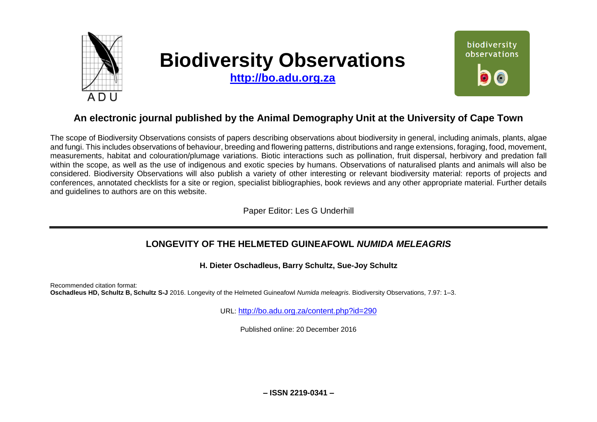

# **Biodiversity Observations**

**[http://bo.adu.org.za](http://bo.adu.org.za/)**



# **An electronic journal published by the Animal Demography Unit at the University of Cape Town**

The scope of Biodiversity Observations consists of papers describing observations about biodiversity in general, including animals, plants, algae and fungi. This includes observations of behaviour, breeding and flowering patterns, distributions and range extensions, foraging, food, movement, measurements, habitat and colouration/plumage variations. Biotic interactions such as pollination, fruit dispersal, herbivory and predation fall within the scope, as well as the use of indigenous and exotic species by humans. Observations of naturalised plants and animals will also be considered. Biodiversity Observations will also publish a variety of other interesting or relevant biodiversity material: reports of projects and conferences, annotated checklists for a site or region, specialist bibliographies, book reviews and any other appropriate material. Further details and guidelines to authors are on this website.

Paper Editor: Les G Underhill

## **LONGEVITY OF THE HELMETED GUINEAFOWL** *NUMIDA MELEAGRIS*

**H. Dieter Oschadleus, Barry Schultz, Sue-Joy Schultz**

Recommended citation format: **Oschadleus HD, Schultz B, Schultz S-J** 2016. Longevity of the Helmeted Guineafowl *Numida meleagris*. Biodiversity Observations, 7.97: 1–3.

URL: <http://bo.adu.org.za/content.php?id=290>

Published online: 20 December 2016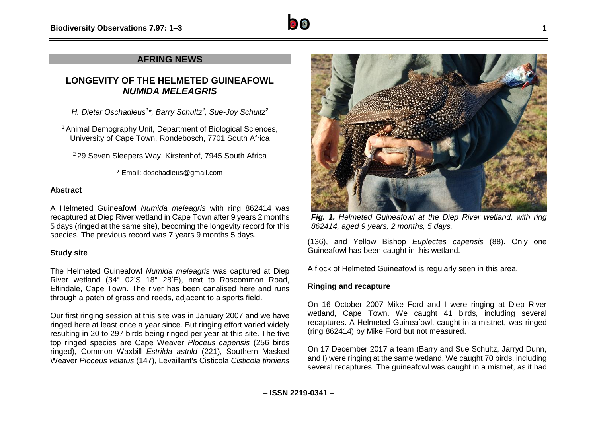

### **AFRING NEWS**

## **LONGEVITY OF THE HELMETED GUINEAFOWL** *NUMIDA MELEAGRIS*

*H. Dieter Oschadleus<sup>1</sup> \*, Barry Schultz<sup>2</sup> , Sue-Joy Schultz<sup>2</sup>*

<sup>1</sup> Animal Demography Unit, Department of Biological Sciences, University of Cape Town, Rondebosch, 7701 South Africa

<sup>2</sup> 29 Seven Sleepers Way, Kirstenhof, 7945 South Africa

\* Email: doschadleus@gmail.com

#### **Abstract**

A Helmeted Guineafowl *Numida meleagris* with ring 862414 was recaptured at Diep River wetland in Cape Town after 9 years 2 months 5 days (ringed at the same site), becoming the longevity record for this species. The previous record was 7 years 9 months 5 days.

#### **Study site**

The Helmeted Guineafowl *Numida meleagris* was captured at Diep River wetland (34° 02'S 18° 28'E), next to Roscommon Road, Elfindale, Cape Town. The river has been canalised here and runs through a patch of grass and reeds, adjacent to a sports field.

Our first ringing session at this site was in January 2007 and we have ringed here at least once a year since. But ringing effort varied widely resulting in 20 to 297 birds being ringed per year at this site. The five top ringed species are Cape Weaver *Ploceus capensis* (256 birds ringed), Common Waxbill *Estrilda astrild* (221), Southern Masked Weaver *Ploceus velatus* (147), Levaillant's Cisticola *Cisticola tinniens*



*Fig. 1. Helmeted Guineafowl at the Diep River wetland, with ring 862414, aged 9 years, 2 months, 5 days.*

(136), and Yellow Bishop *Euplectes capensis* (88). Only one Guineafowl has been caught in this wetland.

A flock of Helmeted Guineafowl is regularly seen in this area.

#### **Ringing and recapture**

On 16 October 2007 Mike Ford and I were ringing at Diep River wetland, Cape Town. We caught 41 birds, including several recaptures. A Helmeted Guineafowl, caught in a mistnet, was ringed (ring 862414) by Mike Ford but not measured.

On 17 December 2017 a team (Barry and Sue Schultz, Jarryd Dunn, and I) were ringing at the same wetland. We caught 70 birds, including several recaptures. The guineafowl was caught in a mistnet, as it had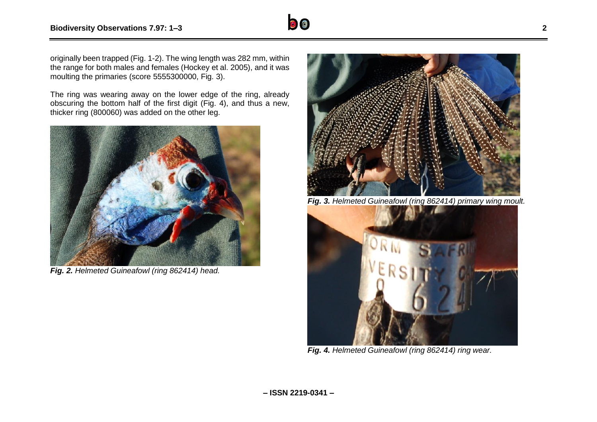

originally been trapped (Fig. 1-2). The wing length was 282 mm, within the range for both males and females (Hockey et al. 2005), and it was moulting the primaries (score 5555300000, Fig. 3).

The ring was wearing away on the lower edge of the ring, already obscuring the bottom half of the first digit (Fig. 4), and thus a new, thicker ring (800060) was added on the other leg.



*Fig. 2. Helmeted Guineafowl (ring 862414) head.*



*Fig. 3. Helmeted Guineafowl (ring 862414) primary wing moult.*



*Fig. 4. Helmeted Guineafowl (ring 862414) ring wear.*